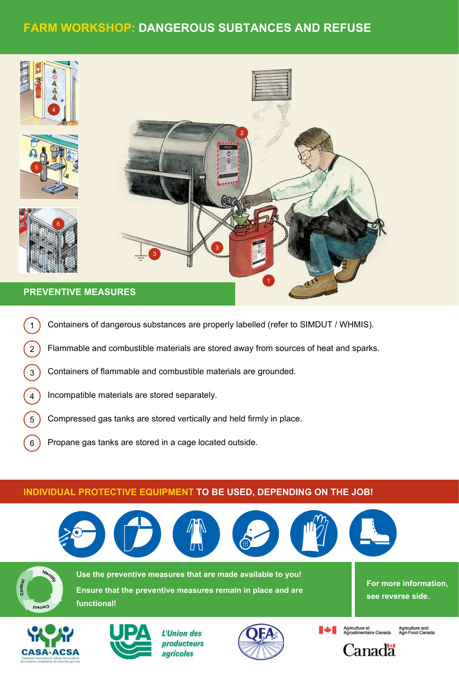# **Farm Workshop: dangerous subtances and refuse**



- 1) Containers of dangerous substances are properly labelled (refer to SIMDUT / WHMIS).
- 2) Flammable and combustible materials are stored away from sources of heat and sparks.
- 3) Containers of flammable and combustible materials are grounded.
- 4) Incompatible materials are stored separately. botte lunette lunette lunette lunette lunette lunette lunette lunette lunette lunette lunette lunette lunette<br>Lunette lunette lunette lunette lunette lunette lunette lunette lunette lunette lunette lunette lunette lunett
- 5 Compressed gas tanks are stored vertically and held firmly in place.
- 6 Propane gas tanks are stored in a cage located outside.

tablier

### INDIVIDUAL PROTECTIVE EQUIPMENT <mark>TO BE USED, DEPENDING ON THE JOB!</mark>



botte lunette



Controy



L'Union des producteurs agricoles